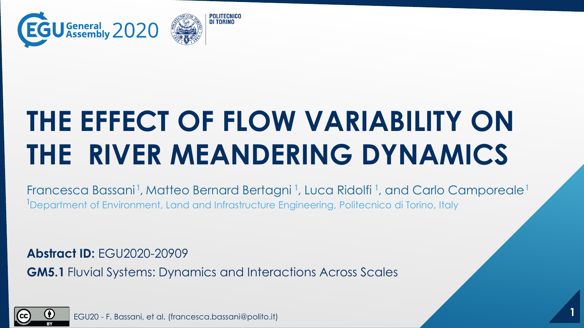

# **THE EFFECT OF FLOW VARIABILITY ON THE RIVER MEANDERING DYNAMICS**

Francesca Bassani<sup>1</sup>, Matteo Bernard Bertagni<sup>1</sup>, Luca Ridolfi<sup>1</sup>, and Carlo Camporeale<sup>1</sup> <sup>1</sup>Department of Environment, Land and Infrastructure Engineering, Politecnico di Torino, Italy

**Abstract ID:** EGU2020-20909

**GM5.1** Fluvial Systems: Dynamics and Interactions Across Scales



**1** EGU20 - F. Bassani, et al. (francesca.bassani@polito.it)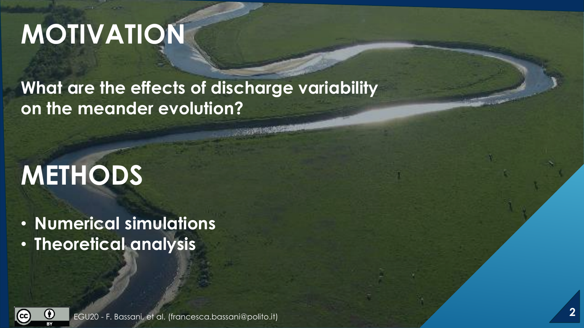## **MOTIVATION**

#### **What are the effects of discharge variability on the meander evolution?**

# **METHODS**

• **Numerical simulations**

• **Theoretical analysis**

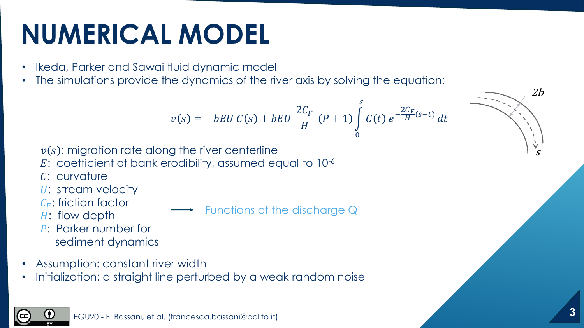## **NUMERICAL MODEL**

- Ikeda, Parker and Sawai fluid dynamic model
- The simulations provide the dynamics of the river axis by solving the equation:

$$
v(s) = -bEU C(s) + bEU \frac{2C_F}{H} (P+1) \int_{0}^{s} C(t) e^{-\frac{2C_F}{H}(s-t)} dt
$$

 $v(s)$ : migration rate along the river centerline

- : coefficient of bank erodibility, assumed equal to 10-6
- : curvature
- U: stream velocity
- $C_F$ : friction factor
- H: flow depth
- P: Parker number for sediment dynamics

Functions of the discharge Q

- Assumption: constant river width
- Initialization: a straight line perturbed by a weak random noise



s

2b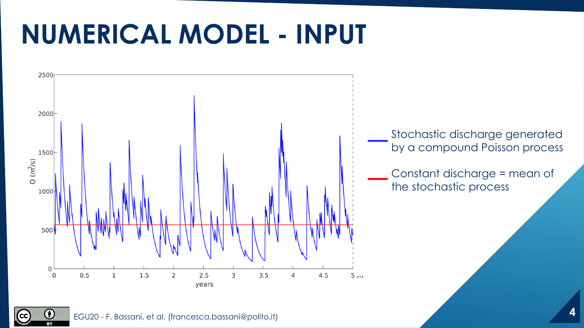### **NUMERICAL MODEL - INPUT**





(cc)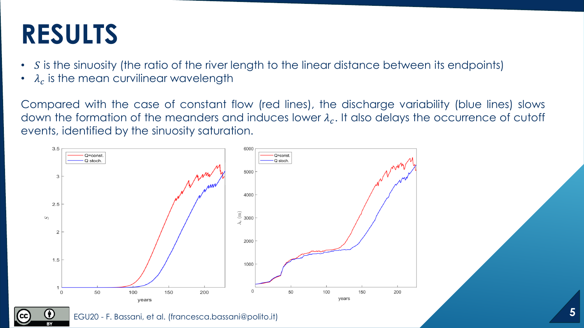#### **RESULTS**

- $\cdot$  S is the sinuosity (the ratio of the river length to the linear distance between its endpoints)
- $\lambda_c$  is the mean curvilinear wavelength

Compared with the case of constant flow (red lines), the discharge variability (blue lines) slows down the formation of the meanders and induces lower  $\lambda_c.$  It also delays the occurrence of cutoff events, identified by the sinuosity saturation.

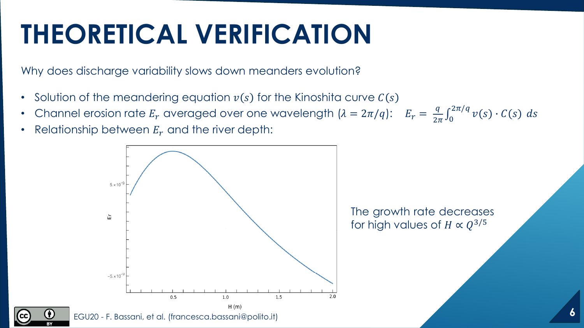## **THEORETICAL VERIFICATION**

Why does discharge variability slows down meanders evolution?

- Solution of the meandering equation  $v(s)$  for the Kinoshita curve  $C(s)$
- Channel erosion rate  $E_r$  averaged over one wavelength  $(\lambda = 2\pi/q)$ :  $E_r = \frac{q}{2\pi}$  $\frac{q}{2\pi}\int_0^2$  $\int_{0}^{2\pi/q} v(s) \cdot C(s) ds$
- Relationship between  $E_r$  and the river depth:

O)

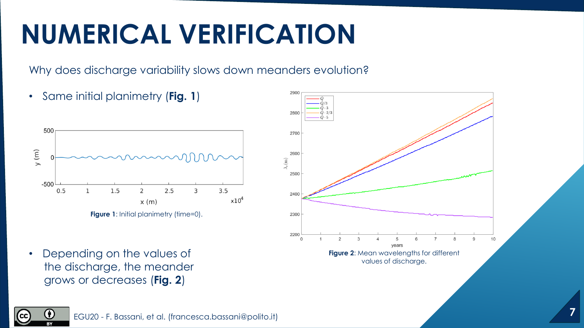## **NUMERICAL VERIFICATION**

Why does discharge variability slows down meanders evolution?

• Same initial planimetry (**Fig. 1**)



• Depending on the values of the discharge, the meander grows or decreases (**Fig. 2**)



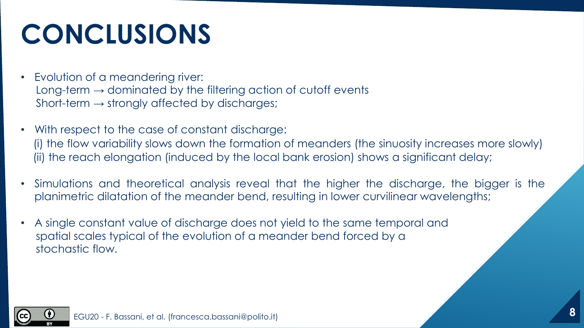# **CONCLUSIONS**

- Evolution of a meandering river: Long-term  $\rightarrow$  dominated by the filtering action of cutoff events Short-term  $\rightarrow$  strongly affected by discharges;
- With respect to the case of constant discharge: (i) the flow variability slows down the formation of meanders (the sinuosity increases more slowly) (ii) the reach elongation (induced by the local bank erosion) shows a significant delay;
- Simulations and theoretical analysis reveal that the higher the discharge, the bigger is the planimetric dilatation of the meander bend, resulting in lower curvilinear wavelengths;
- A single constant value of discharge does not yield to the same temporal and spatial scales typical of the evolution of a meander bend forced by a stochastic flow.